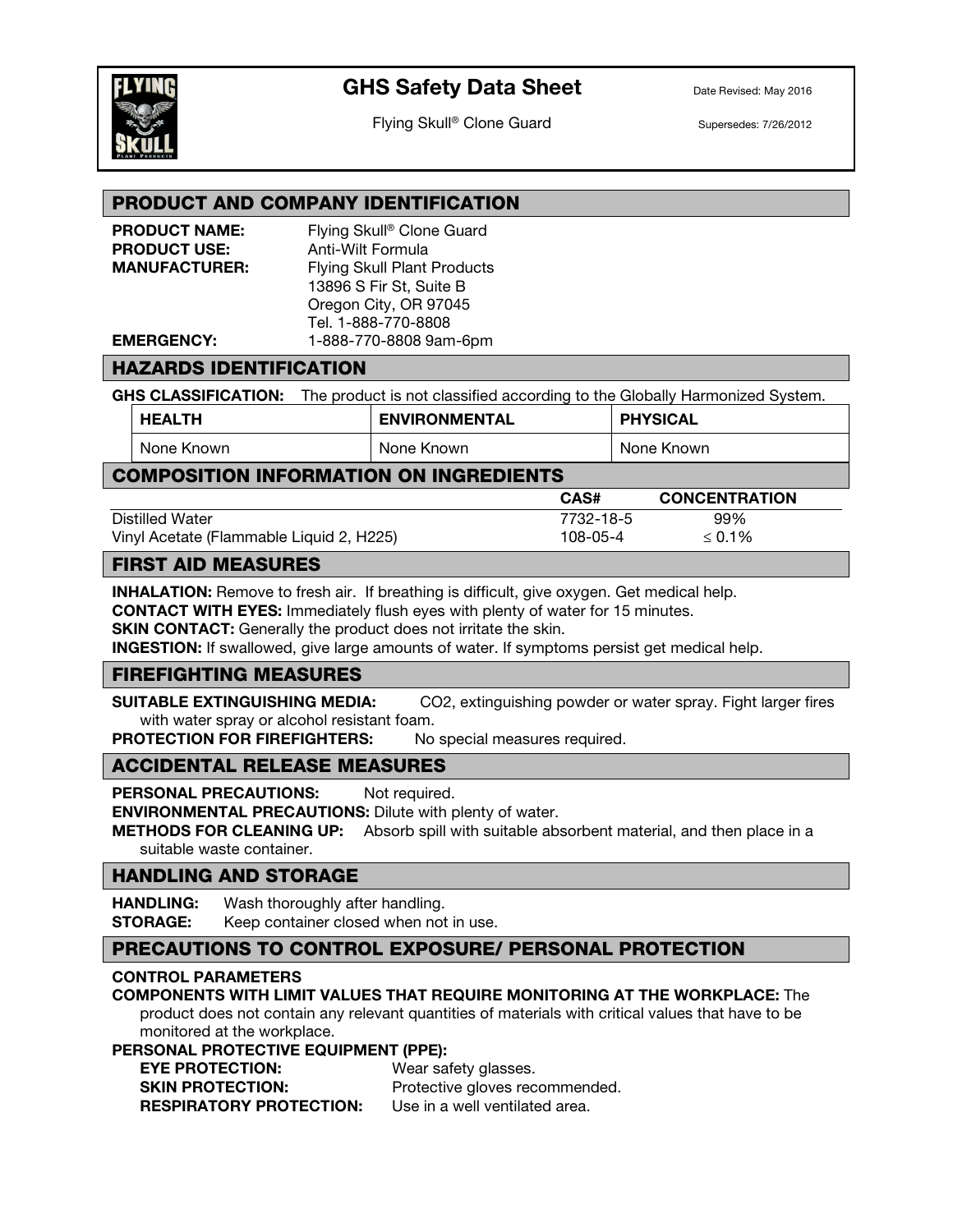

# GHS Safety Data Sheet Date Revised: May 2016

Flying Skull<sup>®</sup> Clone Guard Supersedes: 7/26/2012

## PRODUCT AND COMPANY IDENTIFICATION

| <b>PRODUCT NAME:</b> | Flying Skull <sup>®</sup> Clone Guard |
|----------------------|---------------------------------------|
| <b>PRODUCT USE:</b>  | Anti-Wilt Formula                     |
| <b>MANUFACTURER:</b> | <b>Flying Skull Plant Products</b>    |
|                      | 13896 S Fir St, Suite B               |
|                      | Oregon City, OR 97045                 |
|                      | Tel. 1-888-770-8808                   |
| <b>EMERGENCY:</b>    | 1-888-770-8808 9am-6pm                |
|                      |                                       |

## HAZARDS IDENTIFICATION

GHS CLASSIFICATION: The product is not classified according to the Globally Harmonized System.

| <b>HEALTH</b> | <b>ENVIRONMENTAL</b> | <b>PHYSICAL</b> |
|---------------|----------------------|-----------------|
| None Known    | None Known           | None Known      |

## COMPOSITION INFORMATION ON INGREDIENTS

|                                          | <b>CAS#</b> | <b>CONCENTRATION</b> |
|------------------------------------------|-------------|----------------------|
| Distilled Water                          | 7732-18-5   | 99%                  |
| Vinyl Acetate (Flammable Liquid 2, H225) | 108-05-4    | $\leq 0.1\%$         |

### FIRST AID MEASURES

INHALATION: Remove to fresh air. If breathing is difficult, give oxygen. Get medical help. CONTACT WITH EYES: Immediately flush eyes with plenty of water for 15 minutes.

**SKIN CONTACT:** Generally the product does not irritate the skin.

INGESTION: If swallowed, give large amounts of water. If symptoms persist get medical help.

## FIREFIGHTING MEASURES

SUITABLE EXTINGUISHING MEDIA: CO2, extinguishing powder or water spray. Fight larger fires with water spray or alcohol resistant foam.

PROTECTION FOR FIREFIGHTERS: No special measures required.

#### ACCIDENTAL RELEASE MEASURES

PERSONAL PRECAUTIONS: Not required. ENVIRONMENTAL PRECAUTIONS: Dilute with plenty of water. **METHODS FOR CLEANING UP:** Absorb spill with suitable absorbent material, and then place in a

suitable waste container.

## HANDLING AND STORAGE

**HANDLING:** Wash thoroughly after handling. **STORAGE:** Keep container closed when not in use.

## PRECAUTIONS TO CONTROL EXPOSURE/ PERSONAL PROTECTION

#### CONTROL PARAMETERS

#### COMPONENTS WITH LIMIT VALUES THAT REQUIRE MONITORING AT THE WORKPLACE: The

product does not contain any relevant quantities of materials with critical values that have to be monitored at the workplace.

#### PERSONAL PROTECTIVE EQUIPMENT (PPE):

| <b>EYE PROTECTION:</b>         | Wear safety glasses.           |
|--------------------------------|--------------------------------|
| <b>SKIN PROTECTION:</b>        | Protective gloves recommended. |
| <b>RESPIRATORY PROTECTION:</b> | Use in a well ventilated area. |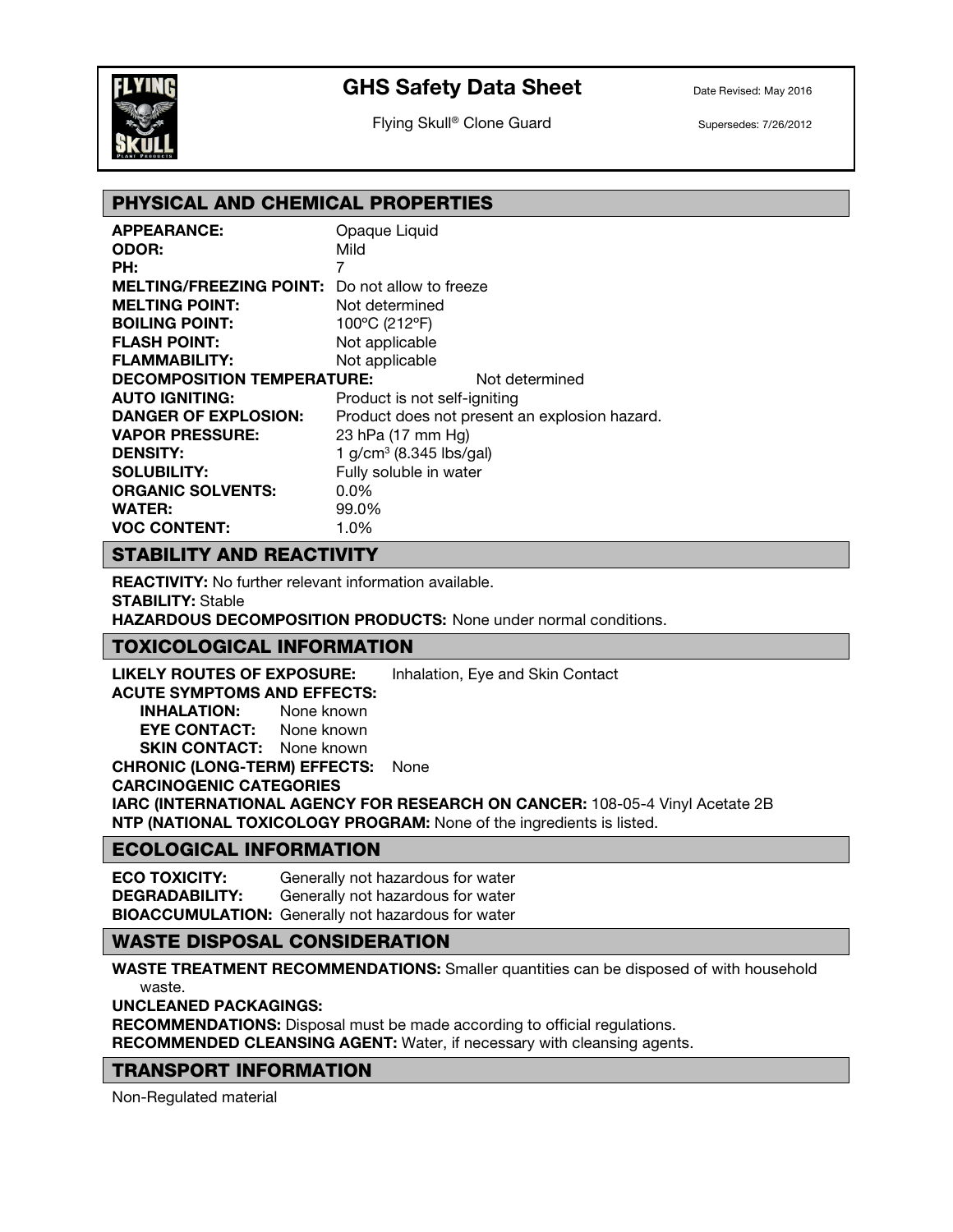

# GHS Safety Data Sheet Date Revised: May 2016

Flying Skull<sup>®</sup> Clone Guard Supersedes: 7/26/2012

## PHYSICAL AND CHEMICAL PROPERTIES

| <b>APPEARANCE:</b>                                    | Opaque Liquid                |                                               |
|-------------------------------------------------------|------------------------------|-----------------------------------------------|
| <b>ODOR:</b>                                          | Mild                         |                                               |
| PH:                                                   | 7                            |                                               |
| <b>MELTING/FREEZING POINT:</b> Do not allow to freeze |                              |                                               |
| <b>MELTING POINT:</b>                                 | Not determined               |                                               |
| <b>BOILING POINT:</b>                                 | 100°C (212°F)                |                                               |
| <b>FLASH POINT:</b>                                   | Not applicable               |                                               |
| <b>FLAMMABILITY:</b>                                  | Not applicable               |                                               |
| <b>DECOMPOSITION TEMPERATURE:</b>                     |                              | Not determined                                |
| <b>AUTO IGNITING:</b>                                 | Product is not self-igniting |                                               |
| <b>DANGER OF EXPLOSION:</b>                           |                              | Product does not present an explosion hazard. |
| <b>VAPOR PRESSURE:</b>                                | 23 hPa (17 mm Hg)            |                                               |
| <b>DENSITY:</b>                                       | 1 $g/cm^3$ (8.345 lbs/gal)   |                                               |
| <b>SOLUBILITY:</b>                                    | Fully soluble in water       |                                               |
| <b>ORGANIC SOLVENTS:</b>                              | $0.0\%$                      |                                               |
| WATER:                                                | 99.0%                        |                                               |
| <b>VOC CONTENT:</b>                                   | 1.0%                         |                                               |

## STABILITY AND REACTIVITY

REACTIVITY: No further relevant information available. STABILITY: Stable

HAZARDOUS DECOMPOSITION PRODUCTS: None under normal conditions.

## TOXICOLOGICAL INFORMATION

LIKELY ROUTES OF EXPOSURE: Inhalation, Eye and Skin Contact

ACUTE SYMPTOMS AND EFFECTS: INHALATION: None known EYE CONTACT: None known **SKIN CONTACT:** None known CHRONIC (LONG-TERM) EFFECTS: None CARCINOGENIC CATEGORIES

IARC (INTERNATIONAL AGENCY FOR RESEARCH ON CANCER: 108-05-4 Vinyl Acetate 2B NTP (NATIONAL TOXICOLOGY PROGRAM: None of the ingredients is listed.

## ECOLOGICAL INFORMATION

ECO TOXICITY: Generally not hazardous for water DEGRADABILITY: Generally not hazardous for water BIOACCUMULATION: Generally not hazardous for water

#### WASTE DISPOSAL CONSIDERATION

WASTE TREATMENT RECOMMENDATIONS: Smaller quantities can be disposed of with household waste.

UNCLEANED PACKAGINGS:

RECOMMENDATIONS: Disposal must be made according to official regulations. RECOMMENDED CLEANSING AGENT: Water, if necessary with cleansing agents.

#### TRANSPORT INFORMATION

Non-Regulated material